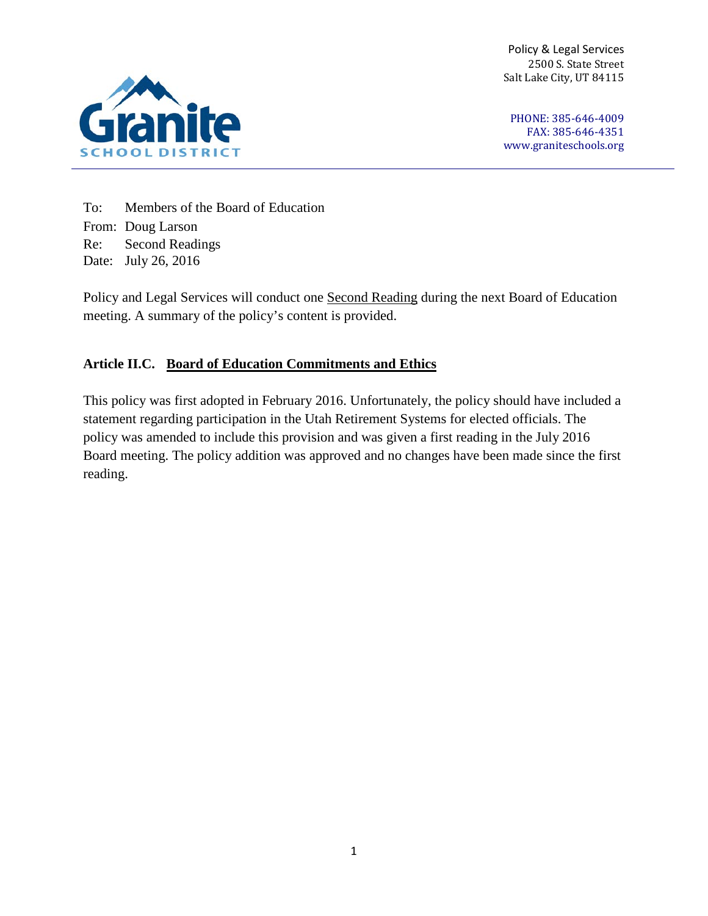Policy & Legal Services 2500 S. State Street Salt Lake City, UT 84115



PHONE: 385-646-4009 FAX: 385-646-4351 [www.graniteschools.org](http://www.graniteschools.org/)

To: Members of the Board of Education From: Doug Larson Re: Second Readings Date: July 26, 2016

Policy and Legal Services will conduct one Second Reading during the next Board of Education meeting. A summary of the policy's content is provided.

## **Article II.C. Board of Education Commitments and Ethics**

This policy was first adopted in February 2016. Unfortunately, the policy should have included a statement regarding participation in the Utah Retirement Systems for elected officials. The policy was amended to include this provision and was given a first reading in the July 2016 Board meeting. The policy addition was approved and no changes have been made since the first reading.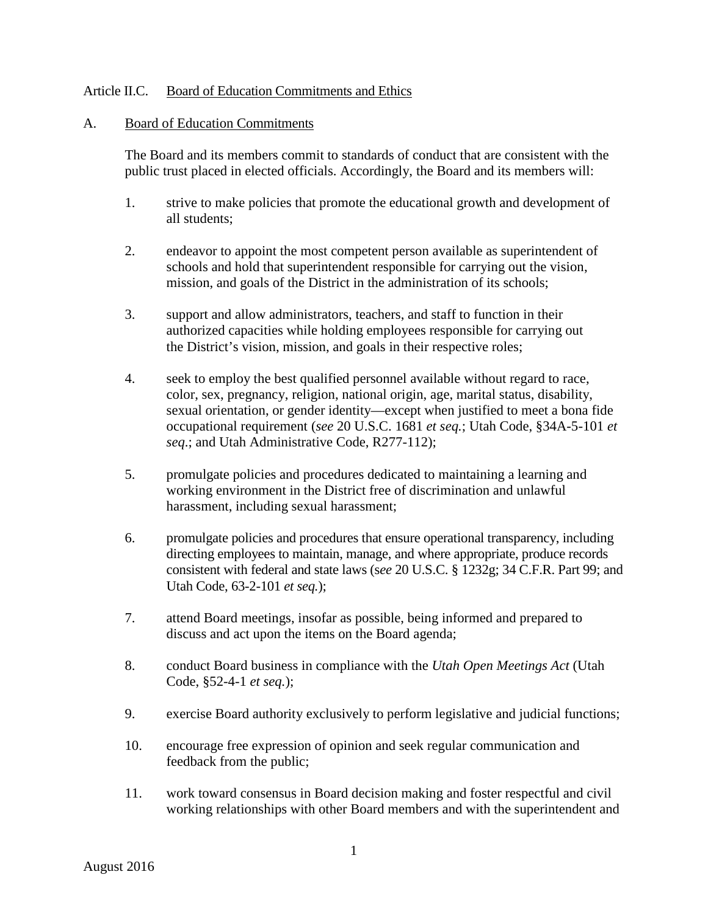## Article II.C. Board of Education Commitments and Ethics

## A. Board of Education Commitments

The Board and its members commit to standards of conduct that are consistent with the public trust placed in elected officials. Accordingly, the Board and its members will:

- 1. strive to make policies that promote the educational growth and development of all students;
- 2. endeavor to appoint the most competent person available as superintendent of schools and hold that superintendent responsible for carrying out the vision, mission, and goals of the District in the administration of its schools;
- 3. support and allow administrators, teachers, and staff to function in their authorized capacities while holding employees responsible for carrying out the District's vision, mission, and goals in their respective roles;
- 4. seek to employ the best qualified personnel available without regard to race, color, sex, pregnancy, religion, national origin, age, marital status, disability, sexual orientation, or gender identity—except when justified to meet a bona fide occupational requirement (*see* 20 U.S.C. 1681 *et seq.*; Utah Code, §34A-5-101 *et seq*.; and Utah Administrative Code, R277-112);
- 5. promulgate policies and procedures dedicated to maintaining a learning and working environment in the District free of discrimination and unlawful harassment, including sexual harassment;
- 6. promulgate policies and procedures that ensure operational transparency, including directing employees to maintain, manage, and where appropriate, produce records consistent with federal and state laws (s*ee* 20 U.S.C. § 1232g; 34 C.F.R. Part 99; and Utah Code, 63-2-101 *et seq.*);
- 7. attend Board meetings, insofar as possible, being informed and prepared to discuss and act upon the items on the Board agenda;
- 8. conduct Board business in compliance with the *Utah Open Meetings Act* (Utah Code, §52-4-1 *et seq.*);
- 9. exercise Board authority exclusively to perform legislative and judicial functions;
- 10. encourage free expression of opinion and seek regular communication and feedback from the public;
- 11. work toward consensus in Board decision making and foster respectful and civil working relationships with other Board members and with the superintendent and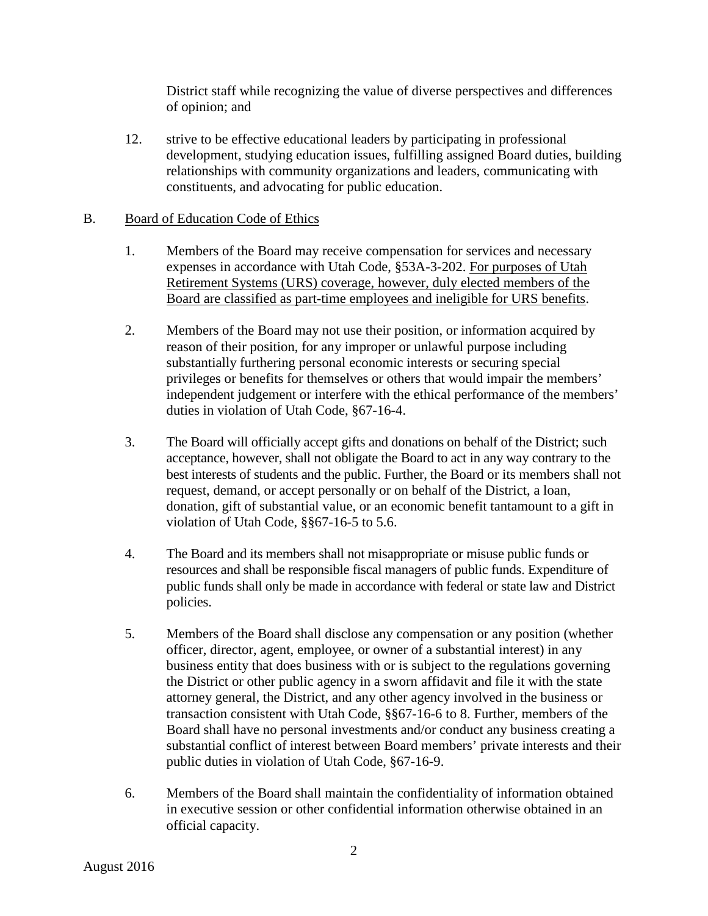District staff while recognizing the value of diverse perspectives and differences of opinion; and

12. strive to be effective educational leaders by participating in professional development, studying education issues, fulfilling assigned Board duties, building relationships with community organizations and leaders, communicating with constituents, and advocating for public education.

## B. Board of Education Code of Ethics

- 1. Members of the Board may receive compensation for services and necessary expenses in accordance with Utah Code, §53A-3-202. For purposes of Utah Retirement Systems (URS) coverage, however, duly elected members of the Board are classified as part-time employees and ineligible for URS benefits.
- 2. Members of the Board may not use their position, or information acquired by reason of their position, for any improper or unlawful purpose including substantially furthering personal economic interests or securing special privileges or benefits for themselves or others that would impair the members' independent judgement or interfere with the ethical performance of the members' duties in violation of Utah Code, §67-16-4.
- 3. The Board will officially accept gifts and donations on behalf of the District; such acceptance, however, shall not obligate the Board to act in any way contrary to the best interests of students and the public. Further, the Board or its members shall not request, demand, or accept personally or on behalf of the District, a loan, donation, gift of substantial value, or an economic benefit tantamount to a gift in violation of Utah Code, §§67-16-5 to 5.6.
- 4. The Board and its members shall not misappropriate or misuse public funds or resources and shall be responsible fiscal managers of public funds. Expenditure of public funds shall only be made in accordance with federal or state law and District policies.
- 5. Members of the Board shall disclose any compensation or any position (whether officer, director, agent, employee, or owner of a substantial interest) in any business entity that does business with or is subject to the regulations governing the District or other public agency in a sworn affidavit and file it with the state attorney general, the District, and any other agency involved in the business or transaction consistent with Utah Code, §§67-16-6 to 8. Further, members of the Board shall have no personal investments and/or conduct any business creating a substantial conflict of interest between Board members' private interests and their public duties in violation of Utah Code, §67-16-9.
- 6. Members of the Board shall maintain the confidentiality of information obtained in executive session or other confidential information otherwise obtained in an official capacity.